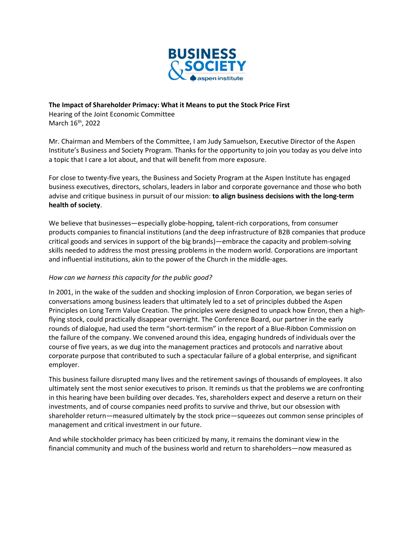

The Impact of Shareholder Primacy: What it Means to put the Stock Price First Hearing of the Joint Economic Committee

March 16<sup>th</sup>, 2022

Mr. Chairman and Members of the Committee, I am Judy Samuelson, Executive Director of the Aspen Institute's Business and Society Program. Thanks for the opportunity to join you today as you delve into a topic that I care a lot about, and that will benefit from more exposure.

For close to twenty-five years, the Business and Society Program at the Aspen Institute has engaged business executives, directors, scholars, leaders in labor and corporate governance and those who both advise and critique business in pursuit of our mission: to align business decisions with the long-term health of society.

We believe that businesses—especially globe-hopping, talent-rich corporations, from consumer products companies to financial institutions (and the deep infrastructure of B2B companies that produce critical goods and services in support of the big brands)—embrace the capacity and problem-solving skills needed to address the most pressing problems in the modern world. Corporations are important and influential institutions, akin to the power of the Church in the middle-ages.

# How can we harness this capacity for the public good?

In 2001, in the wake of the sudden and shocking implosion of Enron Corporation, we began series of conversations among business leaders that ultimately led to a set of principles dubbed the Aspen Principles on Long Term Value Creation. The principles were designed to unpack how Enron, then a highflying stock, could practically disappear overnight. The Conference Board, our partner in the early rounds of dialogue, had used the term "short-termism" in the report of a Blue-Ribbon Commission on the failure of the company. We convened around this idea, engaging hundreds of individuals over the course of five years, as we dug into the management practices and protocols and narrative about corporate purpose that contributed to such a spectacular failure of a global enterprise, and significant employer.

This business failure disrupted many lives and the retirement savings of thousands of employees. It also ultimately sent the most senior executives to prison. It reminds us that the problems we are confronting in this hearing have been building over decades. Yes, shareholders expect and deserve a return on their investments, and of course companies need profits to survive and thrive, but our obsession with shareholder return—measured ultimately by the stock price—squeezes out common sense principles of management and critical investment in our future.

And while stockholder primacy has been criticized by many, it remains the dominant view in the financial community and much of the business world and return to shareholders—now measured as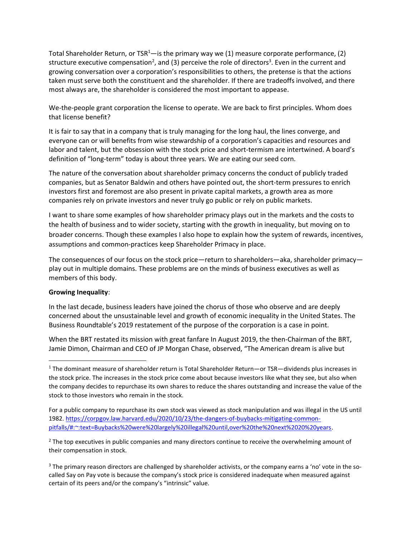Total Shareholder Return, or  $TSR<sup>1</sup>$ —is the primary way we (1) measure corporate performance, (2) structure executive compensation<sup>2</sup>, and (3) perceive the role of directors<sup>3</sup>. Even in the current and growing conversation over a corporation's responsibilities to others, the pretense is that the actions taken must serve both the constituent and the shareholder. If there are tradeoffs involved, and there most always are, the shareholder is considered the most important to appease.

We-the-people grant corporation the license to operate. We are back to first principles. Whom does that license benefit?

It is fair to say that in a company that is truly managing for the long haul, the lines converge, and everyone can or will benefits from wise stewardship of a corporation's capacities and resources and labor and talent, but the obsession with the stock price and short-termism are intertwined. A board's definition of "long-term" today is about three years. We are eating our seed corn.

The nature of the conversation about shareholder primacy concerns the conduct of publicly traded companies, but as Senator Baldwin and others have pointed out, the short-term pressures to enrich investors first and foremost are also present in private capital markets, a growth area as more companies rely on private investors and never truly go public or rely on public markets.

I want to share some examples of how shareholder primacy plays out in the markets and the costs to the health of business and to wider society, starting with the growth in inequality, but moving on to broader concerns. Though these examples I also hope to explain how the system of rewards, incentives, assumptions and common-practices keep Shareholder Primacy in place.

The consequences of our focus on the stock price—return to shareholders—aka, shareholder primacy play out in multiple domains. These problems are on the minds of business executives as well as members of this body.

### Growing Inequality:

In the last decade, business leaders have joined the chorus of those who observe and are deeply concerned about the unsustainable level and growth of economic inequality in the United States. The Business Roundtable's 2019 restatement of the purpose of the corporation is a case in point.

When the BRT restated its mission with great fanfare In August 2019, the then-Chairman of the BRT, Jamie Dimon, Chairman and CEO of JP Morgan Chase, observed, "The American dream is alive but

<sup>&</sup>lt;sup>1</sup> The dominant measure of shareholder return is Total Shareholder Return—or TSR—dividends plus increases in the stock price. The increases in the stock price come about because investors like what they see, but also when the company decides to repurchase its own shares to reduce the shares outstanding and increase the value of the stock to those investors who remain in the stock.

For a public company to repurchase its own stock was viewed as stock manipulation and was illegal in the US until 1982. https://corpgov.law.harvard.edu/2020/10/23/the-dangers-of-buybacks-mitigating-commonpitfalls/#:~:text=Buybacks%20were%20largely%20illegal%20until,over%20the%20next%2020%20years.

<sup>&</sup>lt;sup>2</sup> The top executives in public companies and many directors continue to receive the overwhelming amount of their compensation in stock.

<sup>&</sup>lt;sup>3</sup> The primary reason directors are challenged by shareholder activists, or the company earns a 'no' vote in the socalled Say on Pay vote is because the company's stock price is considered inadequate when measured against certain of its peers and/or the company's "intrinsic" value.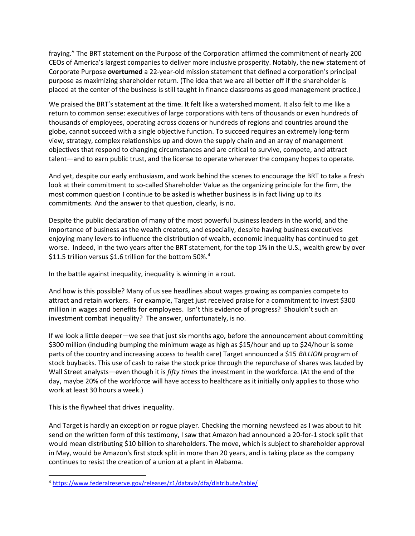fraying." The BRT statement on the Purpose of the Corporation affirmed the commitment of nearly 200 CEOs of America's largest companies to deliver more inclusive prosperity. Notably, the new statement of Corporate Purpose overturned a 22-year-old mission statement that defined a corporation's principal purpose as maximizing shareholder return. (The idea that we are all better off if the shareholder is placed at the center of the business is still taught in finance classrooms as good management practice.)

We praised the BRT's statement at the time. It felt like a watershed moment. It also felt to me like a return to common sense: executives of large corporations with tens of thousands or even hundreds of thousands of employees, operating across dozens or hundreds of regions and countries around the globe, cannot succeed with a single objective function. To succeed requires an extremely long-term view, strategy, complex relationships up and down the supply chain and an array of management objectives that respond to changing circumstances and are critical to survive, compete, and attract talent—and to earn public trust, and the license to operate wherever the company hopes to operate.

And yet, despite our early enthusiasm, and work behind the scenes to encourage the BRT to take a fresh look at their commitment to so-called Shareholder Value as the organizing principle for the firm, the most common question I continue to be asked is whether business is in fact living up to its commitments. And the answer to that question, clearly, is no.

Despite the public declaration of many of the most powerful business leaders in the world, and the importance of business as the wealth creators, and especially, despite having business executives enjoying many levers to influence the distribution of wealth, economic inequality has continued to get worse. Indeed, in the two years after the BRT statement, for the top 1% in the U.S., wealth grew by over \$11.5 trillion versus \$1.6 trillion for the bottom 50%.<sup>4</sup>

In the battle against inequality, inequality is winning in a rout.

And how is this possible? Many of us see headlines about wages growing as companies compete to attract and retain workers. For example, Target just received praise for a commitment to invest \$300 million in wages and benefits for employees. Isn't this evidence of progress? Shouldn't such an investment combat inequality? The answer, unfortunately, is no.

If we look a little deeper—we see that just six months ago, before the announcement about committing \$300 million (including bumping the minimum wage as high as \$15/hour and up to \$24/hour is some parts of the country and increasing access to health care) Target announced a \$15 BILLION program of stock buybacks. This use of cash to raise the stock price through the repurchase of shares was lauded by Wall Street analysts—even though it is fifty times the investment in the workforce. (At the end of the day, maybe 20% of the workforce will have access to healthcare as it initially only applies to those who work at least 30 hours a week.)

This is the flywheel that drives inequality.

And Target is hardly an exception or rogue player. Checking the morning newsfeed as I was about to hit send on the written form of this testimony, I saw that Amazon had announced a 20-for-1 stock split that would mean distributing \$10 billion to shareholders. The move, which is subject to shareholder approval in May, would be Amazon's first stock split in more than 20 years, and is taking place as the company continues to resist the creation of a union at a plant in Alabama.

<sup>4</sup> https://www.federalreserve.gov/releases/z1/dataviz/dfa/distribute/table/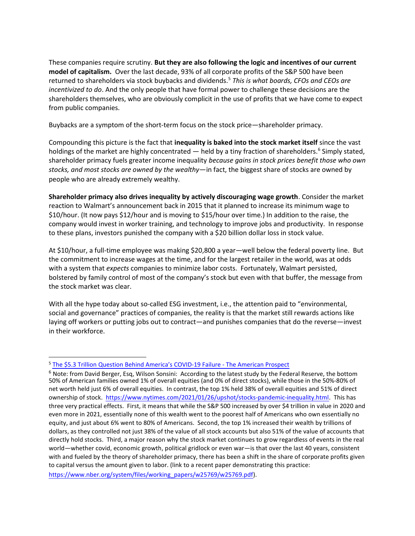These companies require scrutiny. But they are also following the logic and incentives of our current model of capitalism. Over the last decade, 93% of all corporate profits of the S&P 500 have been returned to shareholders via stock buybacks and dividends.<sup>5</sup> This is what boards, CFOs and CEOs are incentivized to do. And the only people that have formal power to challenge these decisions are the shareholders themselves, who are obviously complicit in the use of profits that we have come to expect from public companies.

Buybacks are a symptom of the short-term focus on the stock price—shareholder primacy.

Compounding this picture is the fact that inequality is baked into the stock market itself since the vast holdings of the market are highly concentrated — held by a tiny fraction of shareholders.<sup>6</sup> Simply stated, shareholder primacy fuels greater income inequality because gains in stock prices benefit those who own stocks, and most stocks are owned by the wealthy—in fact, the biggest share of stocks are owned by people who are already extremely wealthy.

Shareholder primacy also drives inequality by actively discouraging wage growth. Consider the market reaction to Walmart's announcement back in 2015 that it planned to increase its minimum wage to \$10/hour. (It now pays \$12/hour and is moving to \$15/hour over time.) In addition to the raise, the company would invest in worker training, and technology to improve jobs and productivity. In response to these plans, investors punished the company with a \$20 billion dollar loss in stock value.

At \$10/hour, a full-time employee was making \$20,800 a year—well below the federal poverty line. But the commitment to increase wages at the time, and for the largest retailer in the world, was at odds with a system that expects companies to minimize labor costs. Fortunately, Walmart persisted, bolstered by family control of most of the company's stock but even with that buffer, the message from the stock market was clear.

With all the hype today about so-called ESG investment, i.e., the attention paid to "environmental, social and governance" practices of companies, the reality is that the market still rewards actions like laying off workers or putting jobs out to contract—and punishes companies that do the reverse—invest in their workforce.

<sup>&</sup>lt;sup>5</sup> The \$5.3 Trillion Question Behind America's COVID-19 Failure - The American Prospect

 $6$  Note: from David Berger, Esg, Wilson Sonsini: According to the latest study by the Federal Reserve, the bottom 50% of American families owned 1% of overall equities (and 0% of direct stocks), while those in the 50%-80% of net worth held just 6% of overall equities. In contrast, the top 1% held 38% of overall equities and 51% of direct ownership of stock. https://www.nytimes.com/2021/01/26/upshot/stocks-pandemic-inequality.html. This has three very practical effects. First, it means that while the S&P 500 increased by over \$4 trillion in value in 2020 and even more in 2021, essentially none of this wealth went to the poorest half of Americans who own essentially no equity, and just about 6% went to 80% of Americans. Second, the top 1% increased their wealth by trillions of dollars, as they controlled not just 38% of the value of all stock accounts but also 51% of the value of accounts that directly hold stocks. Third, a major reason why the stock market continues to grow regardless of events in the real world—whether covid, economic growth, political gridlock or even war—is that over the last 40 years, consistent with and fueled by the theory of shareholder primacy, there has been a shift in the share of corporate profits given to capital versus the amount given to labor. (link to a recent paper demonstrating this practice: https://www.nber.org/system/files/working\_papers/w25769/w25769.pdf).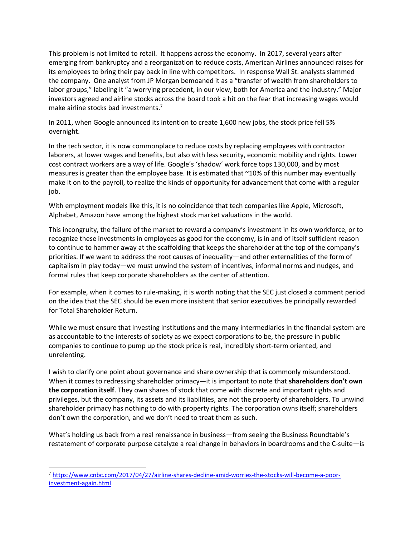This problem is not limited to retail. It happens across the economy. In 2017, several years after emerging from bankruptcy and a reorganization to reduce costs, American Airlines announced raises for its employees to bring their pay back in line with competitors. In response Wall St. analysts slammed the company. One analyst from JP Morgan bemoaned it as a "transfer of wealth from shareholders to labor groups," labeling it "a worrying precedent, in our view, both for America and the industry." Major investors agreed and airline stocks across the board took a hit on the fear that increasing wages would make airline stocks bad investments. $^7$ 

In 2011, when Google announced its intention to create 1,600 new jobs, the stock price fell 5% overnight.

In the tech sector, it is now commonplace to reduce costs by replacing employees with contractor laborers, at lower wages and benefits, but also with less security, economic mobility and rights. Lower cost contract workers are a way of life. Google's 'shadow' work force tops 130,000, and by most measures is greater than the employee base. It is estimated that ~10% of this number may eventually make it on to the payroll, to realize the kinds of opportunity for advancement that come with a regular job.

With employment models like this, it is no coincidence that tech companies like Apple, Microsoft, Alphabet, Amazon have among the highest stock market valuations in the world.

This incongruity, the failure of the market to reward a company's investment in its own workforce, or to recognize these investments in employees as good for the economy, is in and of itself sufficient reason to continue to hammer away at the scaffolding that keeps the shareholder at the top of the company's priorities. If we want to address the root causes of inequality—and other externalities of the form of capitalism in play today—we must unwind the system of incentives, informal norms and nudges, and formal rules that keep corporate shareholders as the center of attention.

For example, when it comes to rule-making, it is worth noting that the SEC just closed a comment period on the idea that the SEC should be even more insistent that senior executives be principally rewarded for Total Shareholder Return.

While we must ensure that investing institutions and the many intermediaries in the financial system are as accountable to the interests of society as we expect corporations to be, the pressure in public companies to continue to pump up the stock price is real, incredibly short-term oriented, and unrelenting.

I wish to clarify one point about governance and share ownership that is commonly misunderstood. When it comes to redressing shareholder primacy—it is important to note that **shareholders don't own** the corporation itself. They own shares of stock that come with discrete and important rights and privileges, but the company, its assets and its liabilities, are not the property of shareholders. To unwind shareholder primacy has nothing to do with property rights. The corporation owns itself; shareholders don't own the corporation, and we don't need to treat them as such.

What's holding us back from a real renaissance in business—from seeing the Business Roundtable's restatement of corporate purpose catalyze a real change in behaviors in boardrooms and the C-suite—is

<sup>7</sup> https://www.cnbc.com/2017/04/27/airline-shares-decline-amid-worries-the-stocks-will-become-a-poorinvestment-again.html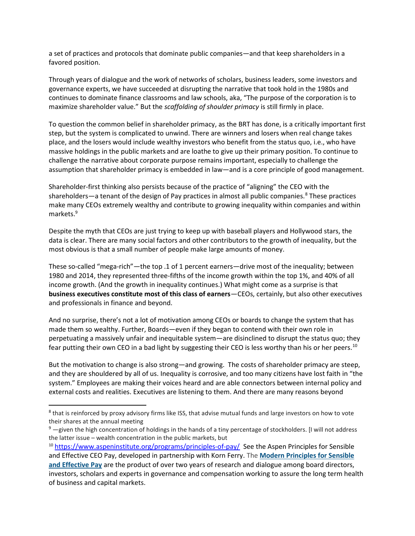a set of practices and protocols that dominate public companies—and that keep shareholders in a favored position.

Through years of dialogue and the work of networks of scholars, business leaders, some investors and governance experts, we have succeeded at disrupting the narrative that took hold in the 1980s and continues to dominate finance classrooms and law schools, aka, "The purpose of the corporation is to maximize shareholder value." But the scaffolding of shoulder primacy is still firmly in place.

To question the common belief in shareholder primacy, as the BRT has done, is a critically important first step, but the system is complicated to unwind. There are winners and losers when real change takes place, and the losers would include wealthy investors who benefit from the status quo, i.e., who have massive holdings in the public markets and are loathe to give up their primary position. To continue to challenge the narrative about corporate purpose remains important, especially to challenge the assumption that shareholder primacy is embedded in law—and is a core principle of good management.

Shareholder-first thinking also persists because of the practice of "aligning" the CEO with the shareholders—a tenant of the design of Pay practices in almost all public companies.<sup>8</sup> These practices make many CEOs extremely wealthy and contribute to growing inequality within companies and within markets.<sup>9</sup>

Despite the myth that CEOs are just trying to keep up with baseball players and Hollywood stars, the data is clear. There are many social factors and other contributors to the growth of inequality, but the most obvious is that a small number of people make large amounts of money.

These so-called "mega-rich"—the top .1 of 1 percent earners—drive most of the inequality; between 1980 and 2014, they represented three-fifths of the income growth within the top 1%, and 40% of all income growth. (And the growth in inequality continues.) What might come as a surprise is that business executives constitute most of this class of earners—CEOs, certainly, but also other executives and professionals in finance and beyond.

And no surprise, there's not a lot of motivation among CEOs or boards to change the system that has made them so wealthy. Further, Boards—even if they began to contend with their own role in perpetuating a massively unfair and inequitable system—are disinclined to disrupt the status quo; they fear putting their own CEO in a bad light by suggesting their CEO is less worthy than his or her peers.<sup>10</sup>

But the motivation to change is also strong—and growing. The costs of shareholder primacy are steep, and they are shouldered by all of us. Inequality is corrosive, and too many citizens have lost faith in "the system." Employees are making their voices heard and are able connectors between internal policy and external costs and realities. Executives are listening to them. And there are many reasons beyond

<sup>&</sup>lt;sup>8</sup> that is reinforced by proxy advisory firms like ISS, that advise mutual funds and large investors on how to vote their shares at the annual meeting

 $9$  -given the high concentration of holdings in the hands of a tiny percentage of stockholders. [I will not address the latter issue – wealth concentration in the public markets, but

<sup>&</sup>lt;sup>10</sup> https://www.aspeninstitute.org/programs/principles-of-pay/ See the Aspen Principles for Sensible and Effective CEO Pay, developed in partnership with Korn Ferry. The Modern Principles for Sensible and Effective Pay are the product of over two years of research and dialogue among board directors, investors, scholars and experts in governance and compensation working to assure the long term health of business and capital markets.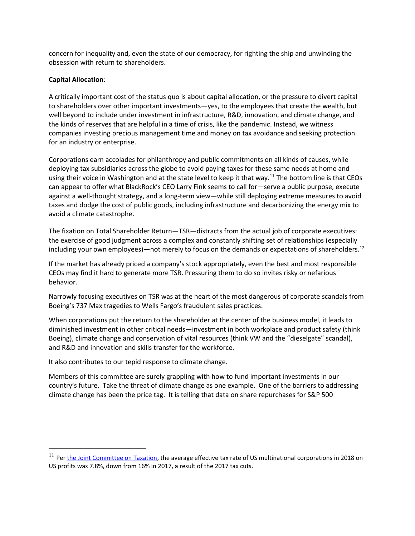concern for inequality and, even the state of our democracy, for righting the ship and unwinding the obsession with return to shareholders.

## Capital Allocation:

A critically important cost of the status quo is about capital allocation, or the pressure to divert capital to shareholders over other important investments—yes, to the employees that create the wealth, but well beyond to include under investment in infrastructure, R&D, innovation, and climate change, and the kinds of reserves that are helpful in a time of crisis, like the pandemic. Instead, we witness companies investing precious management time and money on tax avoidance and seeking protection for an industry or enterprise.

Corporations earn accolades for philanthropy and public commitments on all kinds of causes, while deploying tax subsidiaries across the globe to avoid paying taxes for these same needs at home and using their voice in Washington and at the state level to keep it that way.<sup>11</sup> The bottom line is that CEOs can appear to offer what BlackRock's CEO Larry Fink seems to call for—serve a public purpose, execute against a well-thought strategy, and a long-term view—while still deploying extreme measures to avoid taxes and dodge the cost of public goods, including infrastructure and decarbonizing the energy mix to avoid a climate catastrophe.

The fixation on Total Shareholder Return—TSR—distracts from the actual job of corporate executives: the exercise of good judgment across a complex and constantly shifting set of relationships (especially including your own employees)—not merely to focus on the demands or expectations of shareholders.<sup>12</sup>

If the market has already priced a company's stock appropriately, even the best and most responsible CEOs may find it hard to generate more TSR. Pressuring them to do so invites risky or nefarious behavior.

Narrowly focusing executives on TSR was at the heart of the most dangerous of corporate scandals from Boeing's 737 Max tragedies to Wells Fargo's fraudulent sales practices.

When corporations put the return to the shareholder at the center of the business model, it leads to diminished investment in other critical needs—investment in both workplace and product safety (think Boeing), climate change and conservation of vital resources (think VW and the "dieselgate" scandal), and R&D and innovation and skills transfer for the workforce.

It also contributes to our tepid response to climate change.

Members of this committee are surely grappling with how to fund important investments in our country's future. Take the threat of climate change as one example. One of the barriers to addressing climate change has been the price tag. It is telling that data on share repurchases for S&P 500

 $11$  Per the Joint Committee on Taxation, the average effective tax rate of US multinational corporations in 2018 on US profits was 7.8%, down from 16% in 2017, a result of the 2017 tax cuts.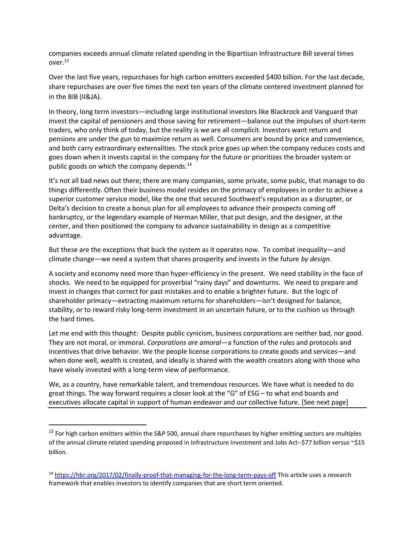companies exceeds annual climate related spending in the Bipartisan Infrastructure Bill several times over.<sup>13</sup>

Over the last five years, repurchases for high carbon emitters exceeded \$400 billion. For the last decade, share repurchases are over five times the next ten years of the climate centered investment planned for in the BIB (II&JA).

In theory, long term investors—including large institutional investors like Blackrock and Vanguard that invest the capital of pensioners and those saving for retirement—balance out the impulses of short-term traders, who only think of today, but the reality is we are all complicit. Investors want return and pensions are under the gun to maximize return as well. Consumers are bound by price and convenience, and both carry extraordinary externalities. The stock price goes up when the company reduces costs and goes down when it invests capital in the company for the future or prioritizes the broader system or public goods on which the company depends.<sup>14</sup>

It's not all bad news out there; there are many companies, some private, some pubic, that manage to do things differently. Often their business model resides on the primacy of employees in order to achieve a superior customer service model, like the one that secured Southwest's reputation as a disrupter, or Delta's decision to create a bonus plan for all employees to advance their prospects coming off bankruptcy, or the legendary example of Herman Miller, that put design, and the designer, at the center, and then positioned the company to advance sustainability in design as a competitive advantage.

But these are the exceptions that buck the system as it operates now. To combat inequality—and climate change—we need a system that shares prosperity and invests in the future by design.

A society and economy need more than hyper-efficiency in the present. We need stability in the face of shocks. We need to be equipped for proverbial "rainy days" and downturns. We need to prepare and invest in changes that correct for past mistakes and to enable a brighter future. But the logic of shareholder primacy—extracting maximum returns for shareholders—isn't designed for balance, stability, or to reward risky long-term investment in an uncertain future, or to the cushion us through the hard times.

Let me end with this thought: Despite public cynicism, business corporations are neither bad, nor good. They are not moral, or immoral. Corporations are amoral—a function of the rules and protocols and incentives that drive behavior. We the people license corporations to create goods and services—and when done well, wealth is created, and ideally is shared with the wealth creators along with those who have wisely invested with a long-term view of performance.

We, as a country, have remarkable talent, and tremendous resources. We have what is needed to do great things. The way forward requires a closer look at the "G" of ESG – to what end boards and executives allocate capital in support of human endeavor and our collective future. [See next page]

 $13$  For high carbon emitters within the S&P 500, annual share repurchases by higher emitting sectors are multiples of the annual climate related spending proposed in Infrastructure Investment and Jobs Act--\$77 billion versus ~\$15 billion.

<sup>14</sup> https://hbr.org/2017/02/finally-proof-that-managing-for-the-long-term-pays-off This article uses a research framework that enables investors to identify companies that are short term oriented.